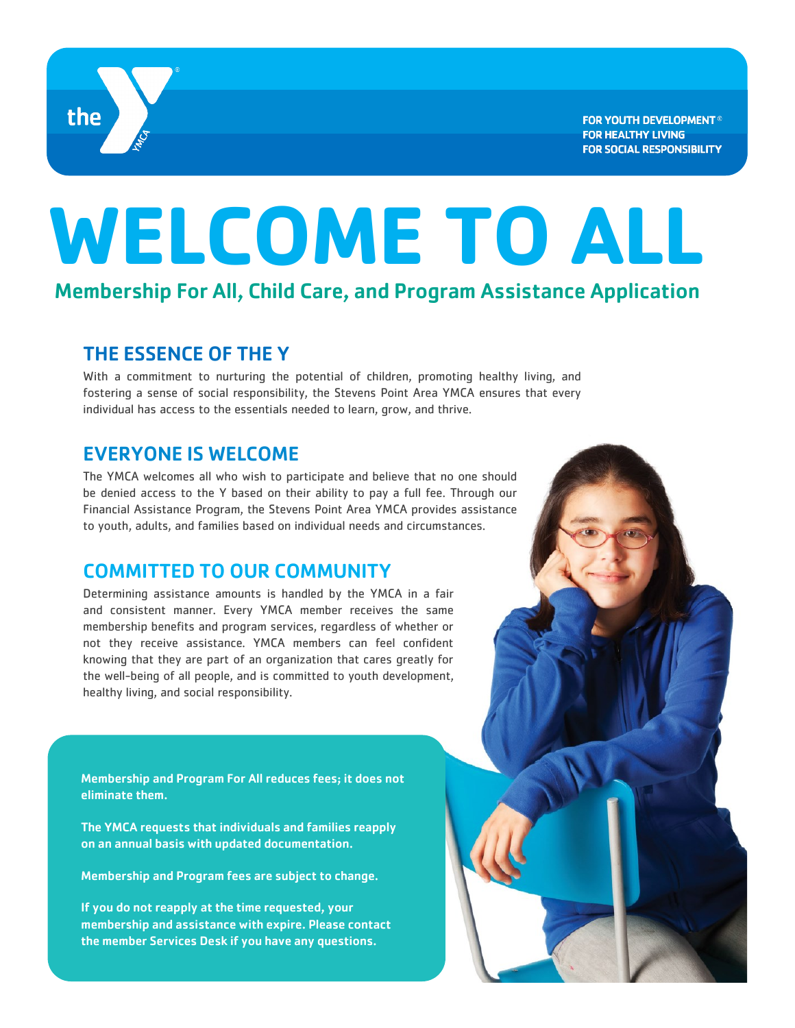

**FOR YOUTH DEVELOPMENT<sup>®</sup> FOR HEALTHY LIVING FOR SOCIAL RESPONSIBILITY** 

# **WELCOME TO ALL**

Membership For All, Child Care, and Program Assistance Application

## THE ESSENCE OF THE Y

With a commitment to nurturing the potential of children, promoting healthy living, and fostering a sense of social responsibility, the Stevens Point Area YMCA ensures that every individual has access to the essentials needed to learn, grow, and thrive.

## EVERYONE IS WELCOME

The YMCA welcomes all who wish to participate and believe that no one should be denied access to the Y based on their ability to pay a full fee. Through our Financial Assistance Program, the Stevens Point Area YMCA provides assistance to youth, adults, and families based on individual needs and circumstances.

# COMMITTED TO OUR COMMUNITY

Determining assistance amounts is handled by the YMCA in a fair and consistent manner. Every YMCA member receives the same membership benefits and program services, regardless of whether or not they receive assistance. YMCA members can feel confident knowing that they are part of an organization that cares greatly for the well-being of all people, and is committed to youth development, healthy living, and social responsibility.

Membership and Program For All reduces fees; it does not eliminate them.

The YMCA requests that individuals and families reapply on an annual basis with updated documentation.

Membership and Program fees are subject to change.

If you do not reapply at the time requested, your membership and assistance with expire. Please contact the member Services Desk if you have any questions.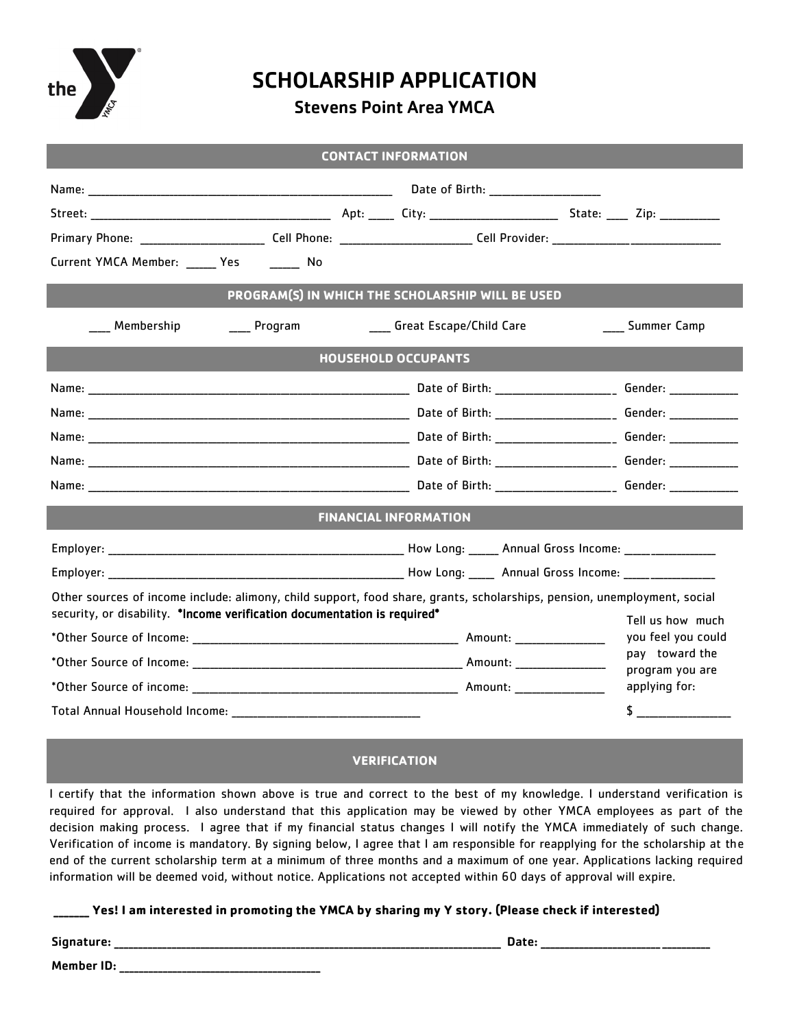

# SCHOLARSHIP APPLICATION

### Stevens Point Area YMCA

| <b>CONTACT INFORMATION</b> |
|----------------------------|
|                            |

| Current YMCA Member: _____ Yes _______ No                                                                                                                                                            |  |                                        |  |  |  |  |  |  |
|------------------------------------------------------------------------------------------------------------------------------------------------------------------------------------------------------|--|----------------------------------------|--|--|--|--|--|--|
| PROGRAM(S) IN WHICH THE SCHOLARSHIP WILL BE USED<br>Membership<br>Program<br>____ Great Escape/Child Care                                                                                            |  | ____ Summer Camp                       |  |  |  |  |  |  |
| <b>HOUSEHOLD OCCUPANTS</b>                                                                                                                                                                           |  |                                        |  |  |  |  |  |  |
|                                                                                                                                                                                                      |  |                                        |  |  |  |  |  |  |
|                                                                                                                                                                                                      |  |                                        |  |  |  |  |  |  |
|                                                                                                                                                                                                      |  |                                        |  |  |  |  |  |  |
|                                                                                                                                                                                                      |  |                                        |  |  |  |  |  |  |
|                                                                                                                                                                                                      |  |                                        |  |  |  |  |  |  |
| <b>FINANCIAL INFORMATION</b>                                                                                                                                                                         |  |                                        |  |  |  |  |  |  |
|                                                                                                                                                                                                      |  |                                        |  |  |  |  |  |  |
| Other sources of income include: alimony, child support, food share, grants, scholarships, pension, unemployment, social<br>security, or disability. *Income verification documentation is required* |  |                                        |  |  |  |  |  |  |
|                                                                                                                                                                                                      |  | Tell us how much<br>you feel you could |  |  |  |  |  |  |
|                                                                                                                                                                                                      |  | pay toward the                         |  |  |  |  |  |  |
|                                                                                                                                                                                                      |  | program you are<br>applying for:       |  |  |  |  |  |  |
|                                                                                                                                                                                                      |  | $\sim$                                 |  |  |  |  |  |  |

#### **VERIFICATION**

I certify that the information shown above is true and correct to the best of my knowledge. I understand verification is required for approval. I also understand that this application may be viewed by other YMCA employees as part of the decision making process. I agree that if my financial status changes I will notify the YMCA immediately of such change. Verification of income is mandatory. By signing below, I agree that I am responsible for reapplying for the scholarship at the end of the current scholarship term at a minimum of three months and a maximum of one year. Applications lacking required information will be deemed void, without notice. Applications not accepted within 60 days of approval will expire.

**\_\_\_\_\_\_\_ Yes! I am interested in promoting the YMCA by sharing my Y story. (Please check if interested)**

Signature: \_\_\_\_\_\_\_\_\_\_\_\_\_\_\_\_\_\_\_\_\_\_\_\_\_\_\_\_\_\_\_\_\_\_\_\_\_\_\_\_\_\_\_\_\_\_\_\_\_\_\_\_\_\_\_\_\_\_\_\_\_\_\_\_\_\_\_\_\_\_\_\_\_\_\_\_\_\_\_\_\_ Date: \_\_\_\_\_\_\_\_\_\_\_\_\_\_\_\_\_\_\_\_\_\_\_\_\_\_\_\_\_\_\_\_\_\_\_

Member ID: \_\_\_\_\_\_\_\_\_\_\_\_\_\_\_\_\_\_\_\_\_\_\_\_\_\_\_\_\_\_\_\_\_\_\_\_\_\_\_\_\_\_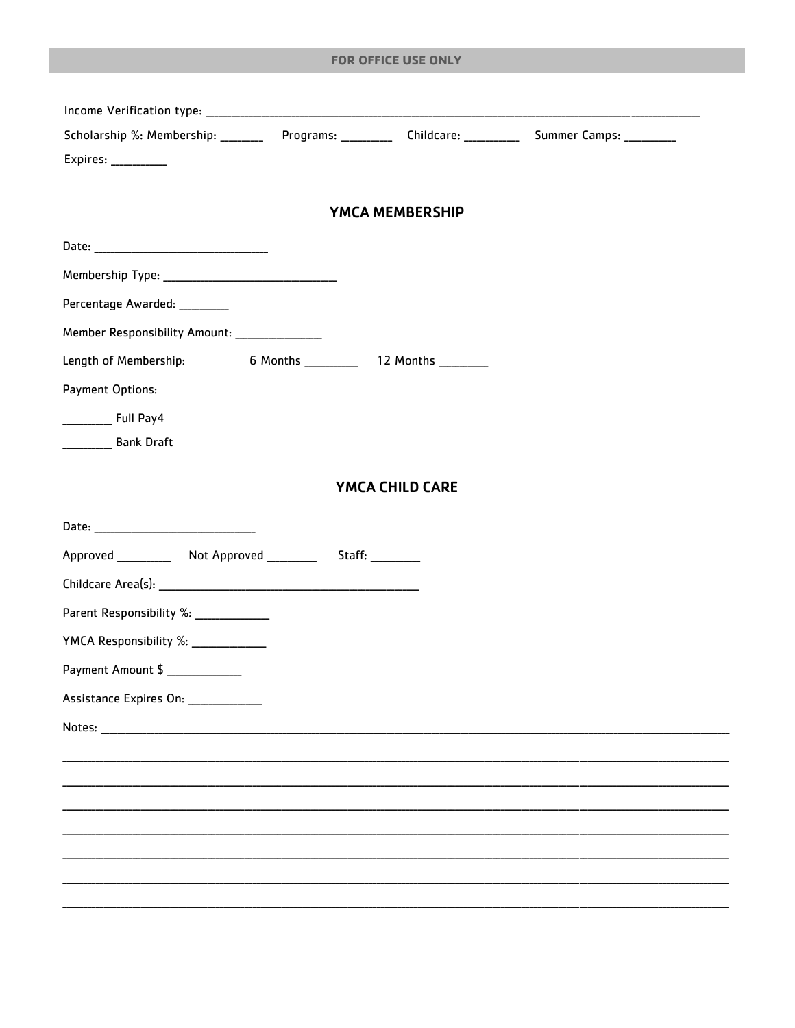#### FOR OFFICE USE ONLY

| Scholarship %: Membership: _________ Programs: __________ Childcare: __________ Summer Camps: __________                                                                                                                       |                 |  |
|--------------------------------------------------------------------------------------------------------------------------------------------------------------------------------------------------------------------------------|-----------------|--|
| Expires: ___________                                                                                                                                                                                                           |                 |  |
|                                                                                                                                                                                                                                |                 |  |
|                                                                                                                                                                                                                                | YMCA MEMBERSHIP |  |
|                                                                                                                                                                                                                                |                 |  |
|                                                                                                                                                                                                                                |                 |  |
| Percentage Awarded: ________                                                                                                                                                                                                   |                 |  |
| Member Responsibility Amount: ______________                                                                                                                                                                                   |                 |  |
| Length of Membership:                                                                                                                                                                                                          |                 |  |
| Payment Options:                                                                                                                                                                                                               |                 |  |
| ___________ Full Pay4                                                                                                                                                                                                          |                 |  |
| <b>__________</b> Bank Draft                                                                                                                                                                                                   |                 |  |
|                                                                                                                                                                                                                                |                 |  |
|                                                                                                                                                                                                                                | YMCA CHILD CARE |  |
|                                                                                                                                                                                                                                |                 |  |
|                                                                                                                                                                                                                                |                 |  |
|                                                                                                                                                                                                                                |                 |  |
| Parent Responsibility %: ____________                                                                                                                                                                                          |                 |  |
| YMCA Responsibility %: ______________                                                                                                                                                                                          |                 |  |
| Payment Amount \$                                                                                                                                                                                                              |                 |  |
| Assistance Expires On: ___________                                                                                                                                                                                             |                 |  |
| Notes: when the contract of the contract of the contract of the contract of the contract of the contract of the contract of the contract of the contract of the contract of the contract of the contract of the contract of th |                 |  |
|                                                                                                                                                                                                                                |                 |  |
|                                                                                                                                                                                                                                |                 |  |
|                                                                                                                                                                                                                                |                 |  |
|                                                                                                                                                                                                                                |                 |  |
|                                                                                                                                                                                                                                |                 |  |
|                                                                                                                                                                                                                                |                 |  |